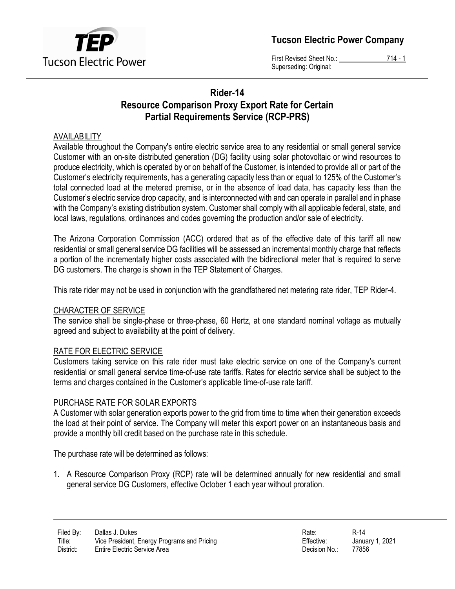

Tucson Electric Power Company

First Revised Sheet No.: 714 - 1 Superseding: Original:

# Rider-14 Resource Comparison Proxy Export Rate for Certain Partial Requirements Service (RCP-PRS)

### AVAILABILITY

Available throughout the Company's entire electric service area to any residential or small general service Customer with an on-site distributed generation (DG) facility using solar photovoltaic or wind resources to produce electricity, which is operated by or on behalf of the Customer, is intended to provide all or part of the Customer's electricity requirements, has a generating capacity less than or equal to 125% of the Customer's total connected load at the metered premise, or in the absence of load data, has capacity less than the Customer's electric service drop capacity, and is interconnected with and can operate in parallel and in phase with the Company's existing distribution system. Customer shall comply with all applicable federal, state, and local laws, regulations, ordinances and codes governing the production and/or sale of electricity.

The Arizona Corporation Commission (ACC) ordered that as of the effective date of this tariff all new residential or small general service DG facilities will be assessed an incremental monthly charge that reflects a portion of the incrementally higher costs associated with the bidirectional meter that is required to serve DG customers. The charge is shown in the TEP Statement of Charges.

This rate rider may not be used in conjunction with the grandfathered net metering rate rider, TEP Rider-4.

### CHARACTER OF SERVICE

The service shall be single-phase or three-phase, 60 Hertz, at one standard nominal voltage as mutually agreed and subject to availability at the point of delivery.

### RATE FOR ELECTRIC SERVICE

Customers taking service on this rate rider must take electric service on one of the Company's current residential or small general service time-of-use rate tariffs. Rates for electric service shall be subject to the terms and charges contained in the Customer's applicable time-of-use rate tariff.

### PURCHASE RATE FOR SOLAR EXPORTS

A Customer with solar generation exports power to the grid from time to time when their generation exceeds the load at their point of service. The Company will meter this export power on an instantaneous basis and provide a monthly bill credit based on the purchase rate in this schedule.

The purchase rate will be determined as follows:

1. A Resource Comparison Proxy (RCP) rate will be determined annually for new residential and small general service DG Customers, effective October 1 each year without proration.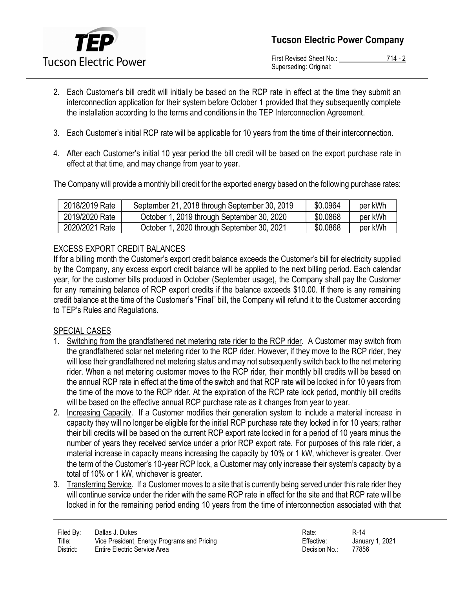

First Revised Sheet No.: 714 - 2 Superseding: Original:

- 2. Each Customer's bill credit will initially be based on the RCP rate in effect at the time they submit an interconnection application for their system before October 1 provided that they subsequently complete the installation according to the terms and conditions in the TEP Interconnection Agreement.
- 3. Each Customer's initial RCP rate will be applicable for 10 years from the time of their interconnection.
- 4. After each Customer's initial 10 year period the bill credit will be based on the export purchase rate in effect at that time, and may change from year to year.

The Company will provide a monthly bill credit for the exported energy based on the following purchase rates:

| 2018/2019 Rate | September 21, 2018 through September 30, 2019 | \$0.0964 | per kWh |
|----------------|-----------------------------------------------|----------|---------|
| 2019/2020 Rate | October 1, 2019 through September 30, 2020    | \$0.0868 | per kWh |
| 2020/2021 Rate | October 1, 2020 through September 30, 2021    | \$0.0868 | per kWh |

## EXCESS EXPORT CREDIT BALANCES

If for a billing month the Customer's export credit balance exceeds the Customer's bill for electricity supplied by the Company, any excess export credit balance will be applied to the next billing period. Each calendar year, for the customer bills produced in October (September usage), the Company shall pay the Customer for any remaining balance of RCP export credits if the balance exceeds \$10.00. If there is any remaining credit balance at the time of the Customer's "Final" bill, the Company will refund it to the Customer according to TEP's Rules and Regulations.

### SPECIAL CASES

- 1. Switching from the grandfathered net metering rate rider to the RCP rider. A Customer may switch from the grandfathered solar net metering rider to the RCP rider. However, if they move to the RCP rider, they will lose their grandfathered net metering status and may not subsequently switch back to the net metering rider. When a net metering customer moves to the RCP rider, their monthly bill credits will be based on the annual RCP rate in effect at the time of the switch and that RCP rate will be locked in for 10 years from the time of the move to the RCP rider. At the expiration of the RCP rate lock period, monthly bill credits will be based on the effective annual RCP purchase rate as it changes from year to year.
- 2. Increasing Capacity. If a Customer modifies their generation system to include a material increase in capacity they will no longer be eligible for the initial RCP purchase rate they locked in for 10 years; rather their bill credits will be based on the current RCP export rate locked in for a period of 10 years minus the number of years they received service under a prior RCP export rate. For purposes of this rate rider, a material increase in capacity means increasing the capacity by 10% or 1 kW, whichever is greater. Over the term of the Customer's 10-year RCP lock, a Customer may only increase their system's capacity by a total of 10% or 1 kW, whichever is greater.
- 3. Transferring Service. If a Customer moves to a site that is currently being served under this rate rider they will continue service under the rider with the same RCP rate in effect for the site and that RCP rate will be locked in for the remaining period ending 10 years from the time of interconnection associated with that